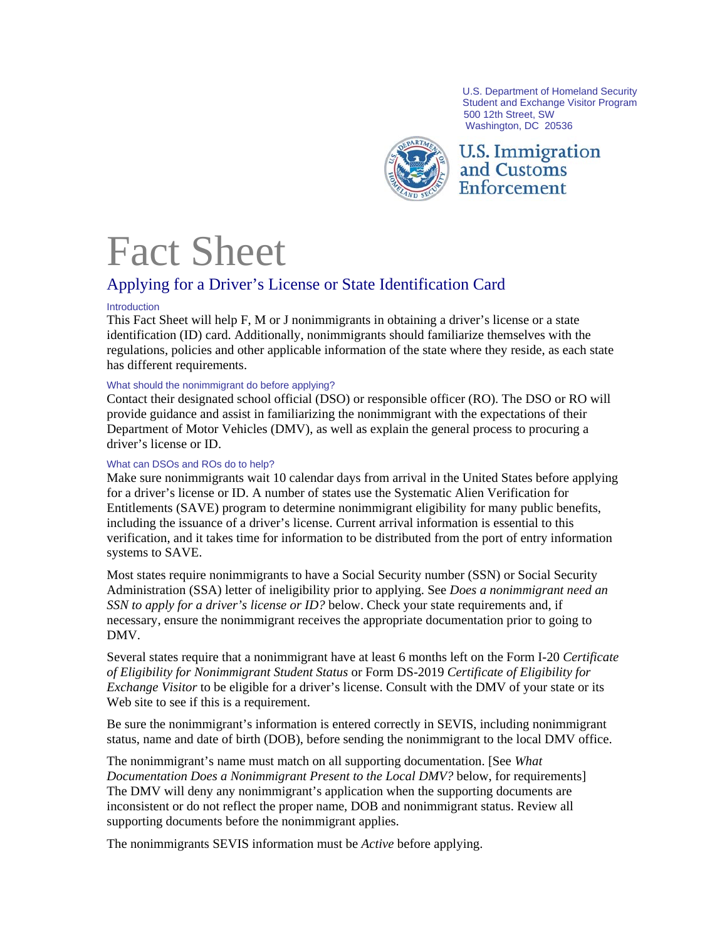U.S. Department of Homeland Security Student and Exchange Visitor Program 500 12th Street, SW Washington, DC 20536



**U.S. Immigration** and Customs Enforcement

# Fact Sheet

# Applying for a Driver's License or State Identification Card

# Introduction

This Fact Sheet will help F, M or J nonimmigrants in obtaining a driver's license or a state identification (ID) card. Additionally, nonimmigrants should familiarize themselves with the regulations, policies and other applicable information of the state where they reside, as each state has different requirements.

# What should the nonimmigrant do before applying?

Contact their designated school official (DSO) or responsible officer (RO). The DSO or RO will provide guidance and assist in familiarizing the nonimmigrant with the expectations of their Department of Motor Vehicles (DMV), as well as explain the general process to procuring a driver's license or ID.

# What can DSOs and ROs do to help?

Make sure nonimmigrants wait 10 calendar days from arrival in the United States before applying for a driver's license or ID. A number of states use the Systematic Alien Verification for Entitlements (SAVE) program to determine nonimmigrant eligibility for many public benefits, including the issuance of a driver's license. Current arrival information is essential to this verification, and it takes time for information to be distributed from the port of entry information systems to SAVE.

Most states require nonimmigrants to have a Social Security number (SSN) or Social Security Administration (SSA) letter of ineligibility prior to applying. See *Does a nonimmigrant need an SSN to apply for a driver's license or ID?* below. Check your state requirements and, if necessary, ensure the nonimmigrant receives the appropriate documentation prior to going to DMV.

Several states require that a nonimmigrant have at least 6 months left on the Form I-20 *Certificate of Eligibility for Nonimmigrant Student Status* or Form DS-2019 *Certificate of Eligibility for Exchange Visitor* to be eligible for a driver's license. Consult with the DMV of your state or its Web site to see if this is a requirement.

Be sure the nonimmigrant's information is entered correctly in SEVIS, including nonimmigrant status, name and date of birth (DOB), before sending the nonimmigrant to the local DMV office.

The nonimmigrant's name must match on all supporting documentation. [See *What Documentation Does a Nonimmigrant Present to the Local DMV?* below, for requirements] The DMV will deny any nonimmigrant's application when the supporting documents are inconsistent or do not reflect the proper name, DOB and nonimmigrant status. Review all supporting documents before the nonimmigrant applies.

The nonimmigrants SEVIS information must be *Active* before applying.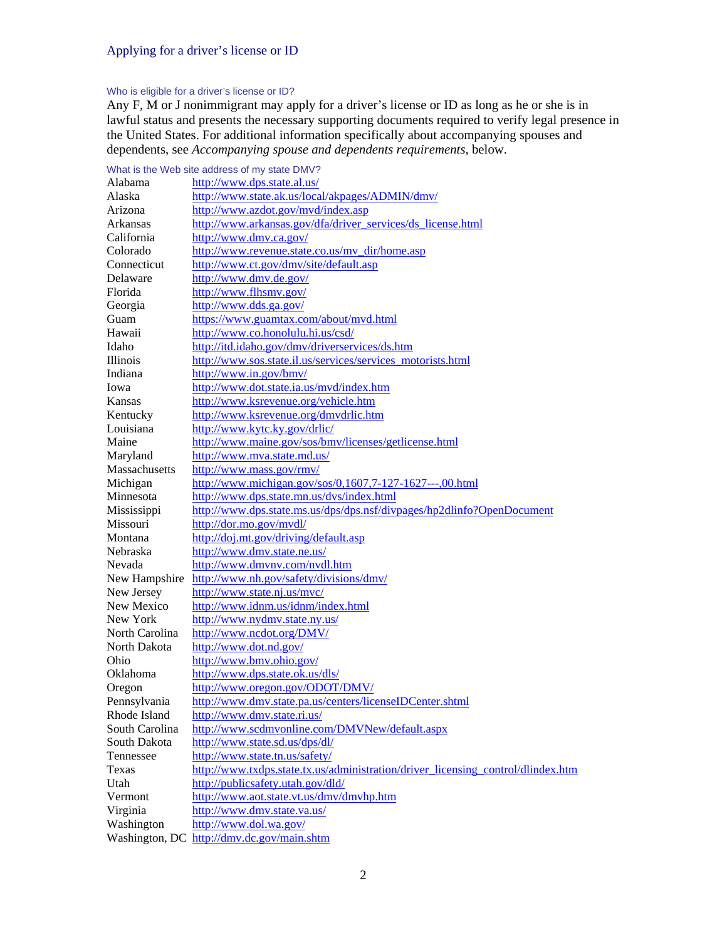#### Who is eligible for a driver's license or ID?

Any F, M or J nonimmigrant may apply for a driver's license or ID as long as he or she is in lawful status and presents the necessary supporting documents required to verify legal presence in the United States. For additional information specifically about accompanying spouses and dependents, see *Accompanying spouse and dependents requirements*, below.

#### What is the Web site address of my state DMV? Alabama <http://www.dps.state.al.us/> Alaska <http://www.state.ak.us/local/akpages/ADMIN/dmv/> Arizona <http://www.azdot.gov/mvd/index.asp> Arkansas [http://www.arkansas.gov/dfa/driver\\_services/ds\\_license.html](http://www.arkansas.gov/dfa/driver_services/ds_license.html) California <http://www.dmv.ca.gov/> Colorado [http://www.revenue.state.co.us/mv\\_dir/home.asp](http://www.revenue.state.co.us/mv_dir/home.asp) Connecticut <http://www.ct.gov/dmv/site/default.asp> Delaware <http://www.dmv.de.gov/> Florida <http://www.flhsmv.gov/> Georgia <http://www.dds.ga.gov/> Guam <https://www.guamtax.com/about/mvd.html> Hawaii <http://www.co.honolulu.hi.us/csd/> Idaho <http://itd.idaho.gov/dmv/driverservices/ds.htm> Illinois [http://www.sos.state.il.us/services/services\\_motorists.html](http://www.sos.state.il.us/services/services_motorists.html) Indiana <http://www.in.gov/bmv/> Iowa <http://www.dot.state.ia.us/mvd/index.htm> Kansas <http://www.ksrevenue.org/vehicle.htm> Kentucky <http://www.ksrevenue.org/dmvdrlic.htm> Louisiana <http://www.kytc.ky.gov/drlic/> Maine <http://www.maine.gov/sos/bmv/licenses/getlicense.html> Maryland <http://www.mva.state.md.us/> Massachusetts <http://www.mass.gov/rmv/> Michigan <http://www.michigan.gov/sos/0,1607,7-127-1627---,00.html> Minnesota <http://www.dps.state.mn.us/dvs/index.html> Mississippi <http://www.dps.state.ms.us/dps/dps.nsf/divpages/hp2dlinfo?OpenDocument> Missouri <http://dor.mo.gov/mvdl/> Montana <http://doj.mt.gov/driving/default.asp> Nebraska <http://www.dmv.state.ne.us/> Nevada <http://www.dmvnv.com/nvdl.htm> New Hampshire <http://www.nh.gov/safety/divisions/dmv/> New Jersey <http://www.state.nj.us/mvc/> New Mexico <http://www.idnm.us/idnm/index.html> New York <http://www.nydmv.state.ny.us/> North Carolina <http://www.ncdot.org/DMV/> North Dakota <http://www.dot.nd.gov/> Ohio <http://www.bmv.ohio.gov/> Oklahoma <http://www.dps.state.ok.us/dls/> Oregon <http://www.oregon.gov/ODOT/DMV/> Pennsylvania <http://www.dmv.state.pa.us/centers/licenseIDCenter.shtml> Rhode Island <http://www.dmv.state.ri.us/> South Carolina <http://www.scdmvonline.com/DMVNew/default.aspx> South Dakota <http://www.state.sd.us/dps/dl/> Tennessee <http://www.state.tn.us/safety/> Texas [http://www.txdps.state.tx.us/administration/driver\\_licensing\\_control/dlindex.htm](http://www.txdps.state.tx.us/administration/driver_licensing_control/dlindex.htm) Utah <http://publicsafety.utah.gov/dld/> Vermont <http://www.aot.state.vt.us/dmv/dmvhp.htm> Virginia <http://www.dmv.state.va.us/> Washington <http://www.dol.wa.gov/> Washington, DC <http://dmv.dc.gov/main.shtm>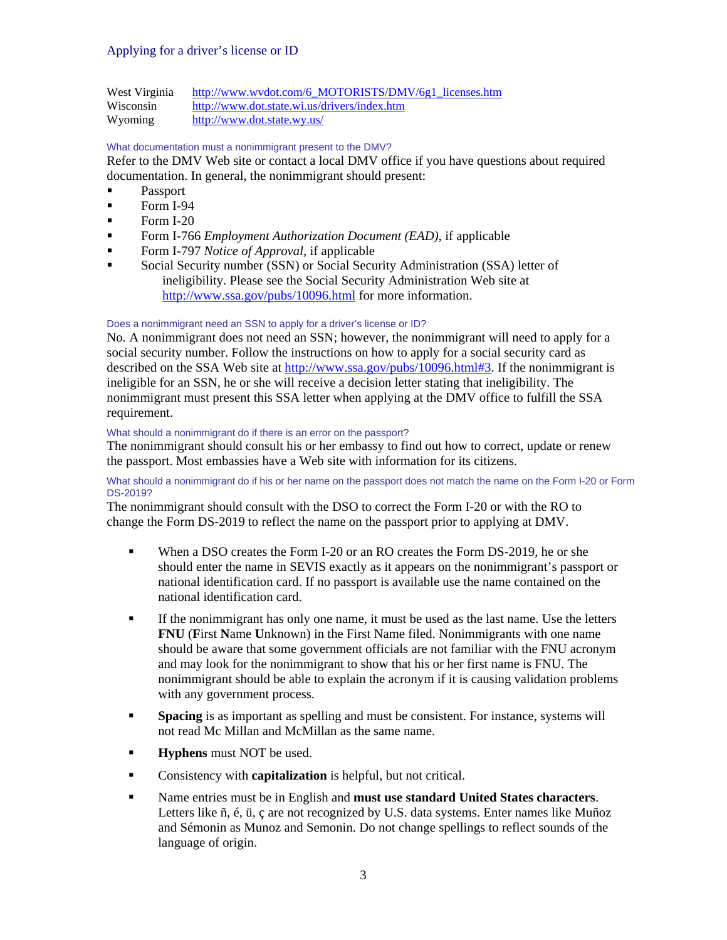West Virginia [http://www.wvdot.com/6\\_MOTORISTS/DMV/6g1\\_licenses.htm](http://www.wvdot.com/6_MOTORISTS/DMV/6g1_licenses.htm) Wisconsin <http://www.dot.state.wi.us/drivers/index.htm> Wyoming <http://www.dot.state.wy.us/>

#### What documentation must a nonimmigrant present to the DMV?

Refer to the DMV Web site or contact a local DMV office if you have questions about required documentation. In general, the nonimmigrant should present:

- Passport
- $\blacksquare$  Form I-94
- $\blacksquare$  Form I-20
- Form I-766 *Employment Authorization Document (EAD)*, if applicable
- Form I-797 *Notice of Approval,* if applicable
- Social Security number (SSN) or Social Security Administration (SSA) letter of ineligibility. Please see the Social Security Administration Web site at <http://www.ssa.gov/pubs/10096.html>for more information.

#### Does a nonimmigrant need an SSN to apply for a driver's license or ID?

No. A nonimmigrant does not need an SSN; however, the nonimmigrant will need to apply for a social security number. Follow the instructions on how to apply for a social security card as described on the SSA Web site at [http://www.ssa.gov/pubs/10096.html#3.](http://www.ssa.gov/pubs/10096.html#3) If the nonimmigrant is ineligible for an SSN, he or she will receive a decision letter stating that ineligibility. The nonimmigrant must present this SSA letter when applying at the DMV office to fulfill the SSA requirement.

#### What should a nonimmigrant do if there is an error on the passport?

The nonimmigrant should consult his or her embassy to find out how to correct, update or renew the passport. Most embassies have a Web site with information for its citizens.

#### What should a nonimmigrant do if his or her name on the passport does not match the name on the Form I-20 or Form DS-2019?

The nonimmigrant should consult with the DSO to correct the Form I-20 or with the RO to change the Form DS-2019 to reflect the name on the passport prior to applying at DMV.

- When a DSO creates the Form I-20 or an RO creates the Form DS-2019, he or she should enter the name in SEVIS exactly as it appears on the nonimmigrant's passport or national identification card. If no passport is available use the name contained on the national identification card.
- If the nonimmigrant has only one name, it must be used as the last name. Use the letters **FNU** (**F**irst **N**ame **U**nknown) in the First Name filed. Nonimmigrants with one name should be aware that some government officials are not familiar with the FNU acronym and may look for the nonimmigrant to show that his or her first name is FNU. The nonimmigrant should be able to explain the acronym if it is causing validation problems with any government process.
- **Spacing** is as important as spelling and must be consistent. For instance, systems will not read Mc Millan and McMillan as the same name.
- **Hyphens** must NOT be used.
- Consistency with **capitalization** is helpful, but not critical.
- Name entries must be in English and **must use standard United States characters**. Letters like ñ, é, ü, ç are not recognized by U.S. data systems. Enter names like Muñoz and Sémonin as Munoz and Semonin. Do not change spellings to reflect sounds of the language of origin.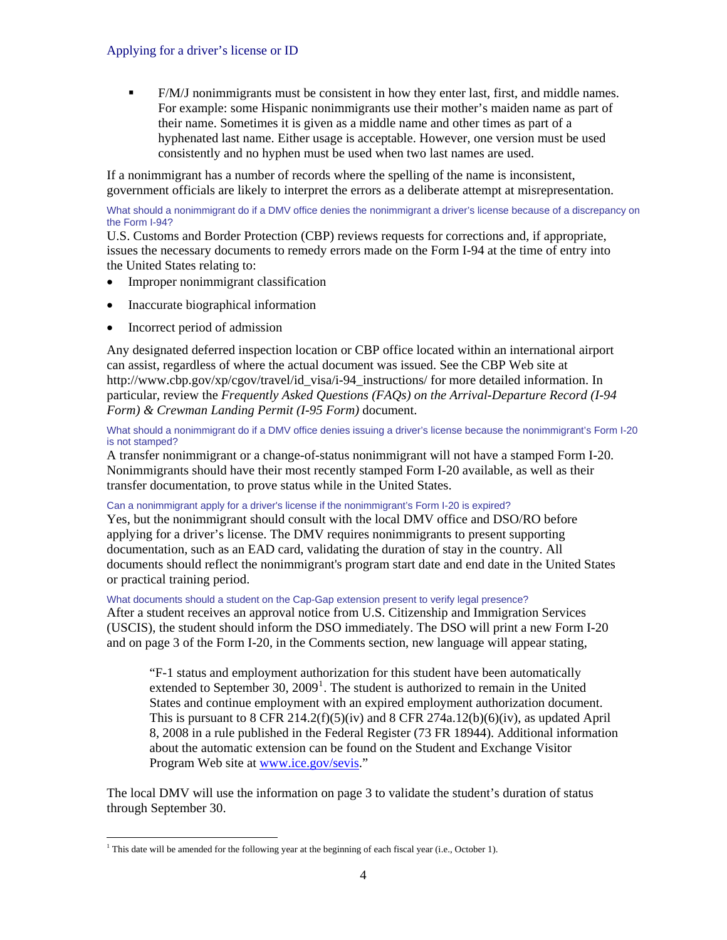F/M/J nonimmigrants must be consistent in how they enter last, first, and middle names. For example: some Hispanic nonimmigrants use their mother's maiden name as part of their name. Sometimes it is given as a middle name and other times as part of a hyphenated last name. Either usage is acceptable. However, one version must be used consistently and no hyphen must be used when two last names are used.

If a nonimmigrant has a number of records where the spelling of the name is inconsistent, government officials are likely to interpret the errors as a deliberate attempt at misrepresentation.

What should a nonimmigrant do if a DMV office denies the nonimmigrant a driver's license because of a discrepancy on the Form I-94?

U.S. Customs and Border Protection (CBP) reviews requests for corrections and, if appropriate, issues the necessary documents to remedy errors made on the Form I-94 at the time of entry into the United States relating to:

- Improper nonimmigrant classification
- Inaccurate biographical information
- Incorrect period of admission

Any designated deferred inspection location or CBP office located within an international airport can assist, regardless of where the actual document was issued. See the CBP Web site at http://www.cbp.gov/xp/cgov/travel/id\_visa/i-94\_instructions/ for more detailed information. In particular, review the *Frequently Asked Questions (FAQs) on the Arrival-Departure Record (I-94 Form) & Crewman Landing Permit (I-95 Form)* document.

What should a nonimmigrant do if a DMV office denies issuing a driver's license because the nonimmigrant's Form I-20 is not stamped?

A transfer nonimmigrant or a change-of-status nonimmigrant will not have a stamped Form I-20. Nonimmigrants should have their most recently stamped Form I-20 available, as well as their transfer documentation, to prove status while in the United States.

Can a nonimmigrant apply for a driver's license if the nonimmigrant's Form I-20 is expired?

Yes, but the nonimmigrant should consult with the local DMV office and DSO/RO before applying for a driver's license. The DMV requires nonimmigrants to present supporting documentation, such as an EAD card, validating the duration of stay in the country. All documents should reflect the nonimmigrant's program start date and end date in the United States or practical training period.

What documents should a student on the Cap-Gap extension present to verify legal presence?

After a student receives an approval notice from U.S. Citizenship and Immigration Services (USCIS), the student should inform the DSO immediately. The DSO will print a new Form I-20 and on page 3 of the Form I-20, in the Comments section, new language will appear stating,

"F-1 status and employment authorization for this student have been automatically extended to September 30,  $2009<sup>1</sup>$  $2009<sup>1</sup>$  $2009<sup>1</sup>$ . The student is authorized to remain in the United States and continue employment with an expired employment authorization document. This is pursuant to 8 CFR 214.2(f)(5)(iv) and 8 CFR 274a.12(b)(6)(iv), as updated April 8, 2008 in a rule published in the Federal Register (73 FR 18944). Additional information about the automatic extension can be found on the Student and Exchange Visitor Program Web site at [www.ic](http://www.ice.gov/sevis)e.gov/sevis."

The local DMV will use the information on page 3 to validate the student's duration of status through September 30.

<span id="page-3-0"></span>l <sup>1</sup> This date will be amended for the following year at the beginning of each fiscal year (i.e., October 1).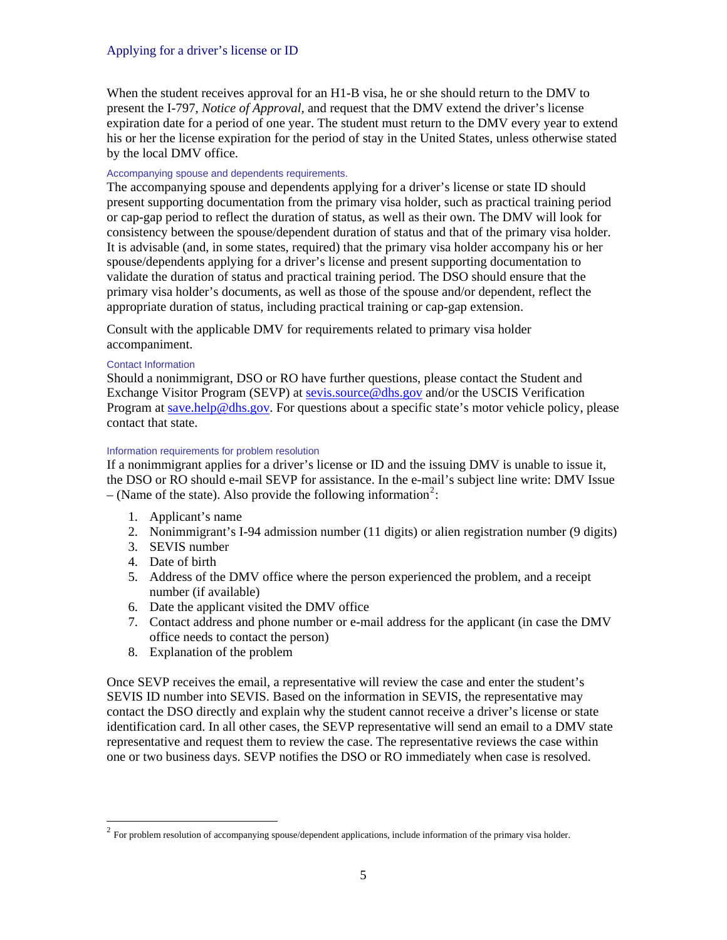When the student receives approval for an H<sub>1</sub>-B visa, he or she should return to the DMV to present the I-797, *Notice of Approval,* and request that the DMV extend the driver's license expiration date for a period of one year. The student must return to the DMV every year to extend his or her the license expiration for the period of stay in the United States, unless otherwise stated by the local DMV office.

## Accompanying spouse and dependents requirements.

The accompanying spouse and dependents applying for a driver's license or state ID should present supporting documentation from the primary visa holder, such as practical training period or cap-gap period to reflect the duration of status, as well as their own. The DMV will look for consistency between the spouse/dependent duration of status and that of the primary visa holder. It is advisable (and, in some states, required) that the primary visa holder accompany his or her spouse/dependents applying for a driver's license and present supporting documentation to validate the duration of status and practical training period. The DSO should ensure that the primary visa holder's documents, as well as those of the spouse and/or dependent, reflect the appropriate duration of status, including practical training or cap-gap extension.

Consult with the applicable DMV for requirements related to primary visa holder accompaniment.

#### Contact Information

Should a nonimmigrant, DSO or RO have further questions, please contact the Student and Exchange Visitor Program (SEVP) at [sevis.source@dhs.gov](mailto:sevis.source@dhs.gov) and/or the USCIS Verification Program at [save.help@dhs.gov](mailto:save.help@dhs.gov). For questions about a specific state's motor vehicle policy, please contact that state.

# Information requirements for problem resolution

If a nonimmigrant applies for a driver's license or ID and the issuing DMV is unable to issue it, the DSO or RO should e-mail SEVP for assistance. In the e-mail's subject line write: DMV Issue  $-$  (Name of the state). Also provide the following information<sup>[2](#page-4-0)</sup>:

- 1. Applicant's name
- 2. Nonimmigrant's I-94 admission number (11 digits) or alien registration number (9 digits)
- 3. SEVIS number
- 4. Date of birth

1

- 5. Address of the DMV office where the person experienced the problem, and a receipt number (if available)
- 6. Date the applicant visited the DMV office
- 7. Contact address and phone number or e-mail address for the applicant (in case the DMV office needs to contact the person)
- 8. Explanation of the problem

Once SEVP receives the email, a representative will review the case and enter the student's SEVIS ID number into SEVIS. Based on the information in SEVIS, the representative may contact the DSO directly and explain why the student cannot receive a driver's license or state identification card. In all other cases, the SEVP representative will send an email to a DMV state representative and request them to review the case. The representative reviews the case within one or two business days. SEVP notifies the DSO or RO immediately when case is resolved.

<span id="page-4-0"></span> $<sup>2</sup>$  For problem resolution of accompanying spouse/dependent applications, include information of the primary visa holder.</sup>